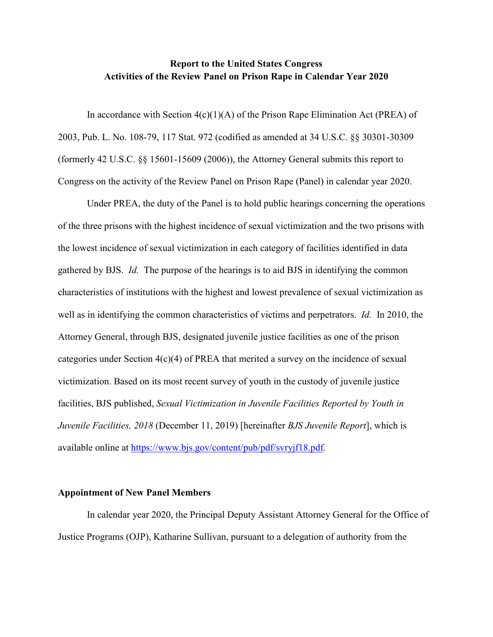## **Report to the United States Congress Activities of the Review Panel on Prison Rape in Calendar Year 2020**

In accordance with Section  $4(c)(1)(A)$  of the Prison Rape Elimination Act (PREA) of 2003, Pub. L. No. 108-79, 117 Stat. 972 (codified as amended at 34 U.S.C. §§ 30301-30309 (formerly 42 U.S.C. §§ 15601-15609 (2006)), the Attorney General submits this report to Congress on the activity of the Review Panel on Prison Rape (Panel) in calendar year 2020.

Under PREA, the duty of the Panel is to hold public hearings concerning the operations of the three prisons with the highest incidence of sexual victimization and the two prisons with the lowest incidence of sexual victimization in each category of facilities identified in data gathered by BJS. *Id.* The purpose of the hearings is to aid BJS in identifying the common characteristics of institutions with the highest and lowest prevalence of sexual victimization as well as in identifying the common characteristics of victims and perpetrators. *Id.* In 2010, the Attorney General, through BJS, designated juvenile justice facilities as one of the prison categories under Section 4(c)(4) of PREA that merited a survey on the incidence of sexual victimization. Based on its most recent survey of youth in the custody of juvenile justice facilities, BJS published, *Sexual Victimization in Juvenile Facilities Reported by Youth in Juvenile Facilities, 2018* (December 11, 2019) [hereinafter *BJS Juvenile Report*], which is available online at https://www.bjs.gov/content/pub/pdf/svryjf18.pdf.

## **Appointment of New Panel Members**

In calendar year 2020, the Principal Deputy Assistant Attorney General for the Office of Justice Programs (OJP), Katharine Sullivan, pursuant to a delegation of authority from the